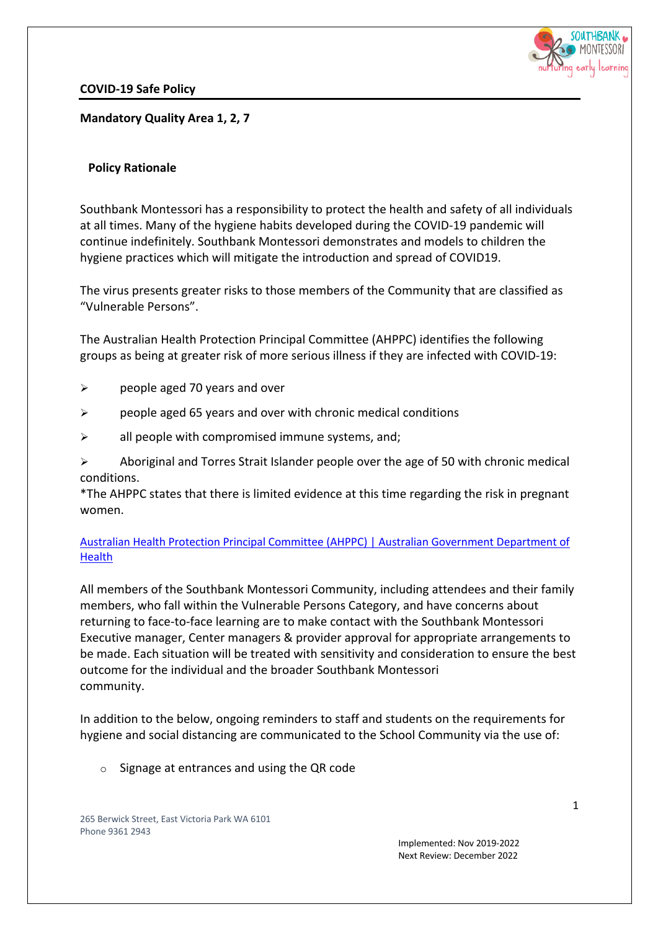

**COVID-19 Safe Policy**

**Mandatory Quality Area 1, 2, 7**

### **Policy Rationale**

Southbank Montessori has a responsibility to protect the health and safety of all individuals at all times. Many of the hygiene habits developed during the COVID-19 pandemic will continue indefinitely. Southbank Montessori demonstrates and models to children the hygiene practices which will mitigate the introduction and spread of COVID19.

The virus presents greater risks to those members of the Community that are classified as "Vulnerable Persons".

The Australian Health Protection Principal Committee (AHPPC) identifies the following groups as being at greater risk of more serious illness if they are infected with COVID-19:

- $\triangleright$  people aged 70 years and over
- $\triangleright$  people aged 65 years and over with chronic medical conditions
- $\triangleright$  all people with compromised immune systems, and;

 $\triangleright$  Aboriginal and Torres Strait Islander people over the age of 50 with chronic medical conditions.

\*The AHPPC states that there is limited evidence at this time regarding the risk in pregnant women.

## Australian Health Protection Principal Committee (AHPPC) | Australian Government Department of Health

All members of the Southbank Montessori Community, including attendees and their family members, who fall within the Vulnerable Persons Category, and have concerns about returning to face-to-face learning are to make contact with the Southbank Montessori Executive manager, Center managers & provider approval for appropriate arrangements to be made. Each situation will be treated with sensitivity and consideration to ensure the best outcome for the individual and the broader Southbank Montessori community.

In addition to the below, ongoing reminders to staff and students on the requirements for hygiene and social distancing are communicated to the School Community via the use of:

o Signage at entrances and using the QR code

265 Berwick Street, East Victoria Park WA 6101 Phone 9361 2943

> Implemented: Nov 2019-2022 Next Review: December 2022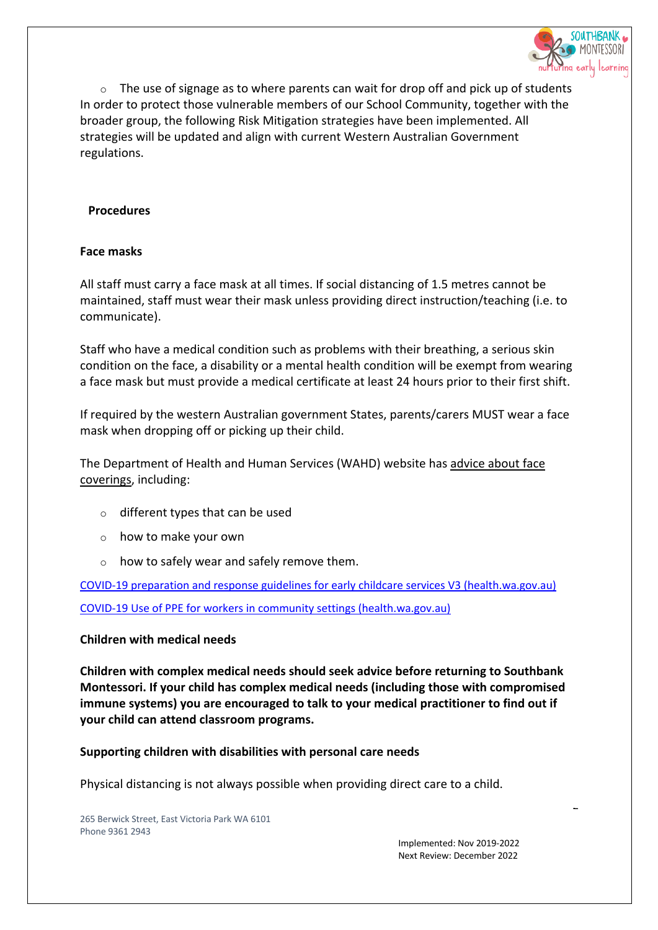

 $\circ$  The use of signage as to where parents can wait for drop off and pick up of students In order to protect those vulnerable members of our School Community, together with the broader group, the following Risk Mitigation strategies have been implemented. All strategies will be updated and align with current Western Australian Government regulations.

#### **Procedures**

#### **Face masks**

All staff must carry a face mask at all times. If social distancing of 1.5 metres cannot be maintained, staff must wear their mask unless providing direct instruction/teaching (i.e. to communicate).

Staff who have a medical condition such as problems with their breathing, a serious skin condition on the face, a disability or a mental health condition will be exempt from wearing a face mask but must provide a medical certificate at least 24 hours prior to their first shift.

If required by the western Australian government States, parents/carers MUST wear a face mask when dropping off or picking up their child.

The Department of Health and Human Services (WAHD) website has advice about face coverings, including:

- o different types that can be used
- o how to make your own
- o how to safely wear and safely remove them.

COVID-19 preparation and response guidelines for early childcare services V3 (health.wa.gov.au)

COVID-19 Use of PPE for workers in community settings (health.wa.gov.au)

### **Children with medical needs**

**Children with complex medical needs should seek advice before returning to Southbank Montessori. If your child has complex medical needs (including those with compromised immune systems) you are encouraged to talk to your medical practitioner to find out if your child can attend classroom programs.**

**Supporting children with disabilities with personal care needs**

Physical distancing is not always possible when providing direct care to a child.

265 Berwick Street, East Victoria Park WA 6101 Phone 9361 2943

> Implemented: Nov 2019-2022 Next Review: December 2022

2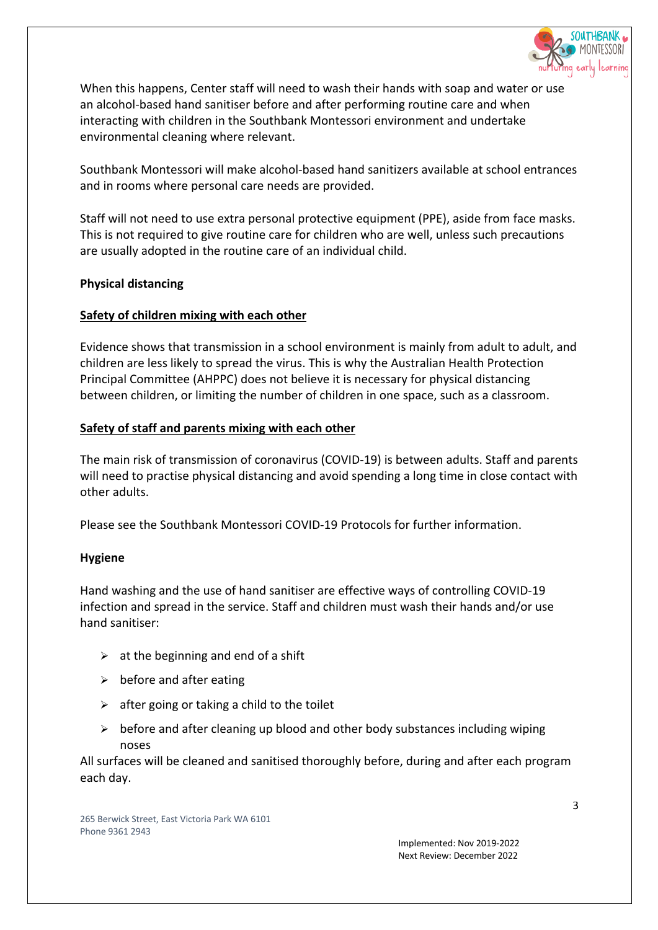

When this happens, Center staff will need to wash their hands with soap and water or use an alcohol-based hand sanitiser before and after performing routine care and when interacting with children in the Southbank Montessori environment and undertake environmental cleaning where relevant.

Southbank Montessori will make alcohol-based hand sanitizers available at school entrances and in rooms where personal care needs are provided.

Staff will not need to use extra personal protective equipment (PPE), aside from face masks. This is not required to give routine care for children who are well, unless such precautions are usually adopted in the routine care of an individual child.

## **Physical distancing**

## **Safety of children mixing with each other**

Evidence shows that transmission in a school environment is mainly from adult to adult, and children are less likely to spread the virus. This is why the Australian Health Protection Principal Committee (AHPPC) does not believe it is necessary for physical distancing between children, or limiting the number of children in one space, such as a classroom.

## **Safety of staff and parents mixing with each other**

The main risk of transmission of coronavirus (COVID-19) is between adults. Staff and parents will need to practise physical distancing and avoid spending a long time in close contact with other adults.

Please see the Southbank Montessori COVID-19 Protocols for further information.

# **Hygiene**

Hand washing and the use of hand sanitiser are effective ways of controlling COVID-19 infection and spread in the service. Staff and children must wash their hands and/or use hand sanitiser:

- $\triangleright$  at the beginning and end of a shift
- $\triangleright$  before and after eating
- $\triangleright$  after going or taking a child to the toilet
- $\triangleright$  before and after cleaning up blood and other body substances including wiping noses

All surfaces will be cleaned and sanitised thoroughly before, during and after each program each day.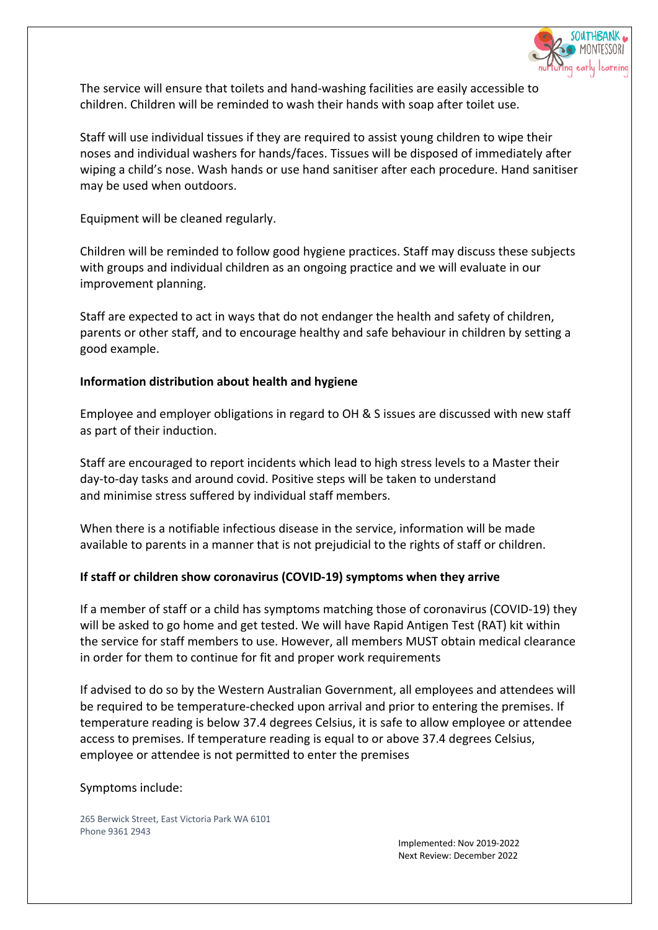

The service will ensure that toilets and hand-washing facilities are easily accessible to children. Children will be reminded to wash their hands with soap after toilet use.

Staff will use individual tissues if they are required to assist young children to wipe their noses and individual washers for hands/faces. Tissues will be disposed of immediately after wiping a child's nose. Wash hands or use hand sanitiser after each procedure. Hand sanitiser may be used when outdoors.

Equipment will be cleaned regularly.

Children will be reminded to follow good hygiene practices. Staff may discuss these subjects with groups and individual children as an ongoing practice and we will evaluate in our improvement planning.

Staff are expected to act in ways that do not endanger the health and safety of children, parents or other staff, and to encourage healthy and safe behaviour in children by setting a good example.

## **Information distribution about health and hygiene**

Employee and employer obligations in regard to OH & S issues are discussed with new staff as part of their induction.

Staff are encouraged to report incidents which lead to high stress levels to a Master their day-to-day tasks and around covid. Positive steps will be taken to understand and minimise stress suffered by individual staff members.

When there is a notifiable infectious disease in the service, information will be made available to parents in a manner that is not prejudicial to the rights of staff or children.

# **If staff or children show coronavirus (COVID-19) symptoms when they arrive**

If a member of staff or a child has symptoms matching those of coronavirus (COVID-19) they will be asked to go home and get tested. We will have Rapid Antigen Test (RAT) kit within the service for staff members to use. However, all members MUST obtain medical clearance in order for them to continue for fit and proper work requirements

If advised to do so by the Western Australian Government, all employees and attendees will be required to be temperature-checked upon arrival and prior to entering the premises. If temperature reading is below 37.4 degrees Celsius, it is safe to allow employee or attendee access to premises. If temperature reading is equal to or above 37.4 degrees Celsius, employee or attendee is not permitted to enter the premises

### Symptoms include:

265 Berwick Street, East Victoria Park WA 6101 Phone 9361 2943

> Implemented: Nov 2019-2022 Next Review: December 2022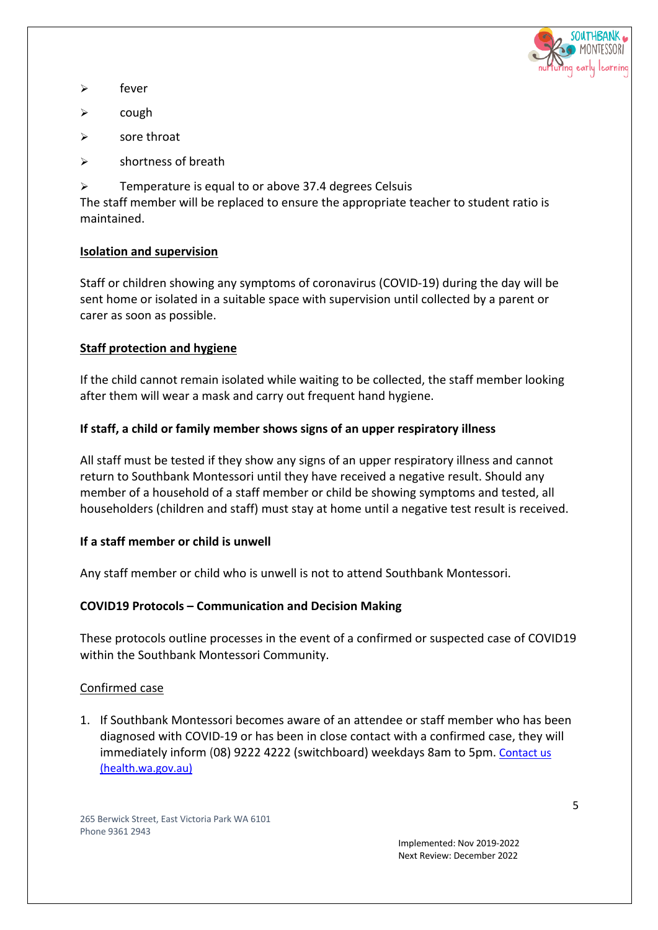

- $\triangleright$  fever
- $\triangleright$  cough
- $\triangleright$  sore throat
- $\triangleright$  shortness of breath
- $\triangleright$  Temperature is equal to or above 37.4 degrees Celsuis

The staff member will be replaced to ensure the appropriate teacher to student ratio is maintained.

## **Isolation and supervision**

Staff or children showing any symptoms of coronavirus (COVID-19) during the day will be sent home or isolated in a suitable space with supervision until collected by a parent or carer as soon as possible.

# **Staff protection and hygiene**

If the child cannot remain isolated while waiting to be collected, the staff member looking after them will wear a mask and carry out frequent hand hygiene.

## **If staff, a child or family member shows signs of an upper respiratory illness**

All staff must be tested if they show any signs of an upper respiratory illness and cannot return to Southbank Montessori until they have received a negative result. Should any member of a household of a staff member or child be showing symptoms and tested, all householders (children and staff) must stay at home until a negative test result is received.

# **If a staff member or child is unwell**

Any staff member or child who is unwell is not to attend Southbank Montessori.

# **COVID19 Protocols – Communication and Decision Making**

These protocols outline processes in the event of a confirmed or suspected case of COVID19 within the Southbank Montessori Community.

### Confirmed case

1. If Southbank Montessori becomes aware of an attendee or staff member who has been diagnosed with COVID-19 or has been in close contact with a confirmed case, they will immediately inform (08) 9222 4222 (switchboard) weekdays 8am to 5pm. Contact us (health.wa.gov.au)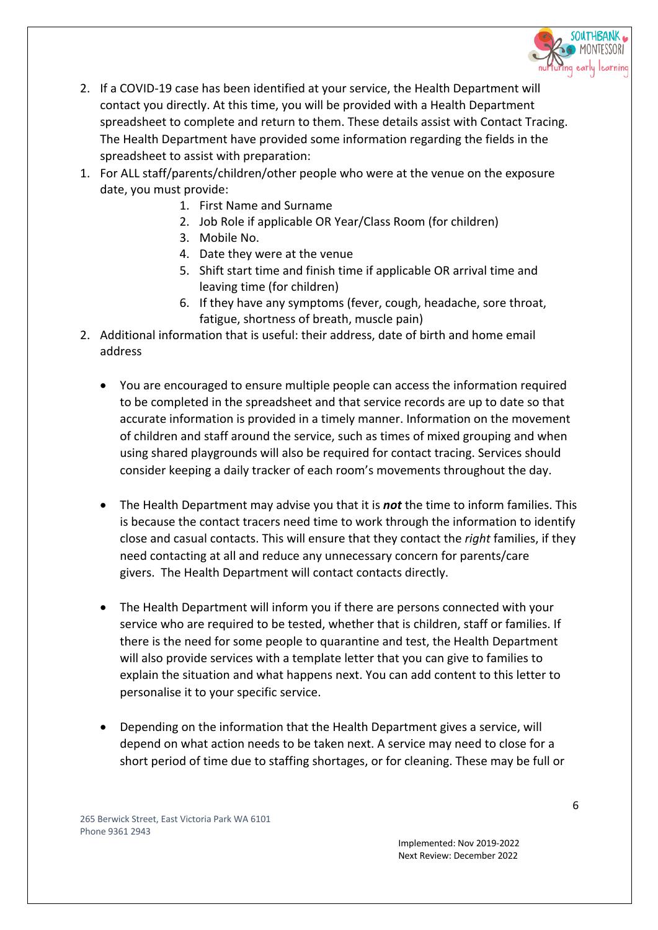

- 2. If a COVID-19 case has been identified at your service, the Health Department will contact you directly. At this time, you will be provided with a Health Department spreadsheet to complete and return to them. These details assist with Contact Tracing. The Health Department have provided some information regarding the fields in the spreadsheet to assist with preparation:
- 1. For ALL staff/parents/children/other people who were at the venue on the exposure date, you must provide:
	- 1. First Name and Surname
	- 2. Job Role if applicable OR Year/Class Room (for children)
	- 3. Mobile No.
	- 4. Date they were at the venue
	- 5. Shift start time and finish time if applicable OR arrival time and leaving time (for children)
	- 6. If they have any symptoms (fever, cough, headache, sore throat, fatigue, shortness of breath, muscle pain)
- 2. Additional information that is useful: their address, date of birth and home email address
	- You are encouraged to ensure multiple people can access the information required to be completed in the spreadsheet and that service records are up to date so that accurate information is provided in a timely manner. Information on the movement of children and staff around the service, such as times of mixed grouping and when using shared playgrounds will also be required for contact tracing. Services should consider keeping a daily tracker of each room's movements throughout the day.
	- The Health Department may advise you that it is *not* the time to inform families. This is because the contact tracers need time to work through the information to identify close and casual contacts. This will ensure that they contact the *right* families, if they need contacting at all and reduce any unnecessary concern for parents/care givers. The Health Department will contact contacts directly.
	- The Health Department will inform you if there are persons connected with your service who are required to be tested, whether that is children, staff or families. If there is the need for some people to quarantine and test, the Health Department will also provide services with a template letter that you can give to families to explain the situation and what happens next. You can add content to this letter to personalise it to your specific service.
	- Depending on the information that the Health Department gives a service, will depend on what action needs to be taken next. A service may need to close for a short period of time due to staffing shortages, or for cleaning. These may be full or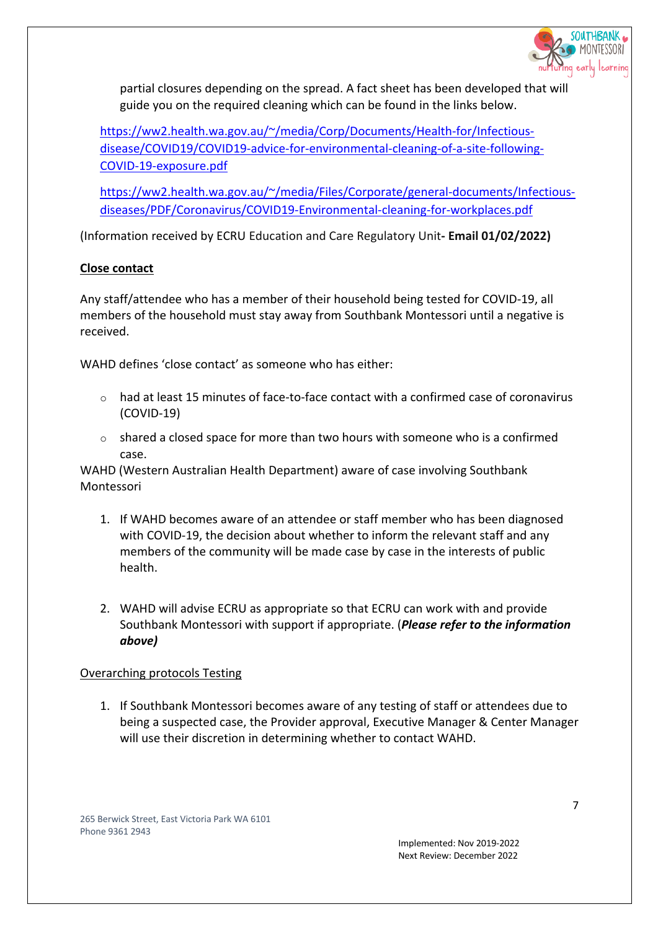

partial closures depending on the spread. A fact sheet has been developed that will guide you on the required cleaning which can be found in the links below.

https://ww2.health.wa.gov.au/~/media/Corp/Documents/Health-for/Infectiousdisease/COVID19/COVID19-advice-for-environmental-cleaning-of-a-site-following-COVID-19-exposure.pdf

https://ww2.health.wa.gov.au/~/media/Files/Corporate/general-documents/Infectiousdiseases/PDF/Coronavirus/COVID19-Environmental-cleaning-for-workplaces.pdf

(Information received by ECRU Education and Care Regulatory Unit**- Email 01/02/2022)**

# **Close contact**

Any staff/attendee who has a member of their household being tested for COVID-19, all members of the household must stay away from Southbank Montessori until a negative is received.

WAHD defines 'close contact' as someone who has either:

- $\circ$  had at least 15 minutes of face-to-face contact with a confirmed case of coronavirus (COVID-19)
- o shared a closed space for more than two hours with someone who is a confirmed case.

WAHD (Western Australian Health Department) aware of case involving Southbank Montessori

- 1. If WAHD becomes aware of an attendee or staff member who has been diagnosed with COVID-19, the decision about whether to inform the relevant staff and any members of the community will be made case by case in the interests of public health.
- 2. WAHD will advise ECRU as appropriate so that ECRU can work with and provide Southbank Montessori with support if appropriate. (*Please refer to the information above)*

### Overarching protocols Testing

1. If Southbank Montessori becomes aware of any testing of staff or attendees due to being a suspected case, the Provider approval, Executive Manager & Center Manager will use their discretion in determining whether to contact WAHD.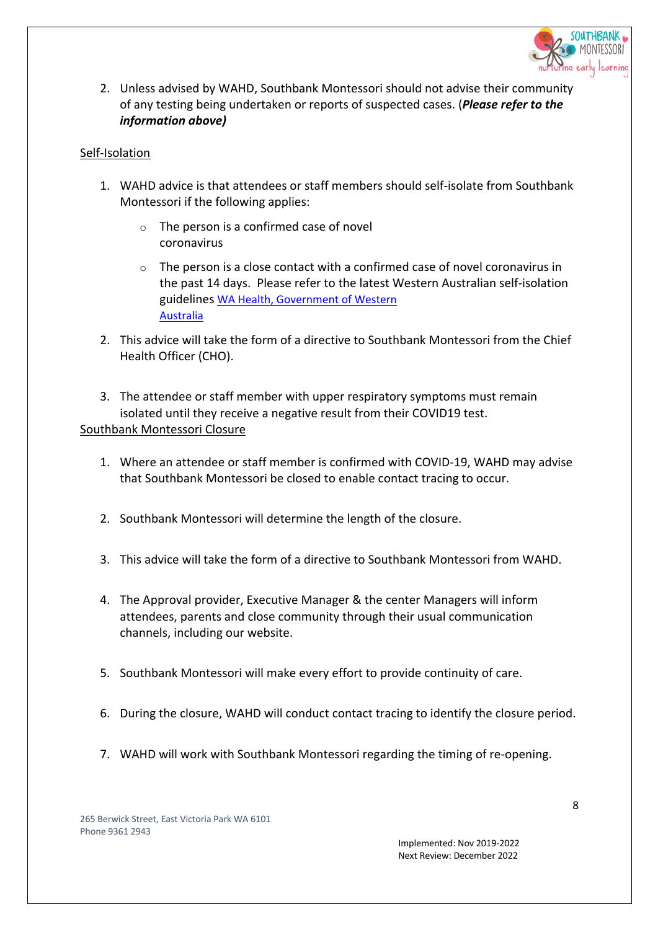

2. Unless advised by WAHD, Southbank Montessori should not advise their community of any testing being undertaken or reports of suspected cases. (*Please refer to the information above)*

### Self-Isolation

- 1. WAHD advice is that attendees or staff members should self-isolate from Southbank Montessori if the following applies:
	- o The person is a confirmed case of novel coronavirus
	- $\circ$  The person is a close contact with a confirmed case of novel coronavirus in the past 14 days. Please refer to the latest Western Australian self-isolation guidelines WA Health, Government of Western Australia
- 2. This advice will take the form of a directive to Southbank Montessori from the Chief Health Officer (CHO).

3. The attendee or staff member with upper respiratory symptoms must remain isolated until they receive a negative result from their COVID19 test. Southbank Montessori Closure

- 1. Where an attendee or staff member is confirmed with COVID-19, WAHD may advise that Southbank Montessori be closed to enable contact tracing to occur.
- 2. Southbank Montessori will determine the length of the closure.
- 3. This advice will take the form of a directive to Southbank Montessori from WAHD.
- 4. The Approval provider, Executive Manager & the center Managers will inform attendees, parents and close community through their usual communication channels, including our website.
- 5. Southbank Montessori will make every effort to provide continuity of care.
- 6. During the closure, WAHD will conduct contact tracing to identify the closure period.
- 7. WAHD will work with Southbank Montessori regarding the timing of re-opening.